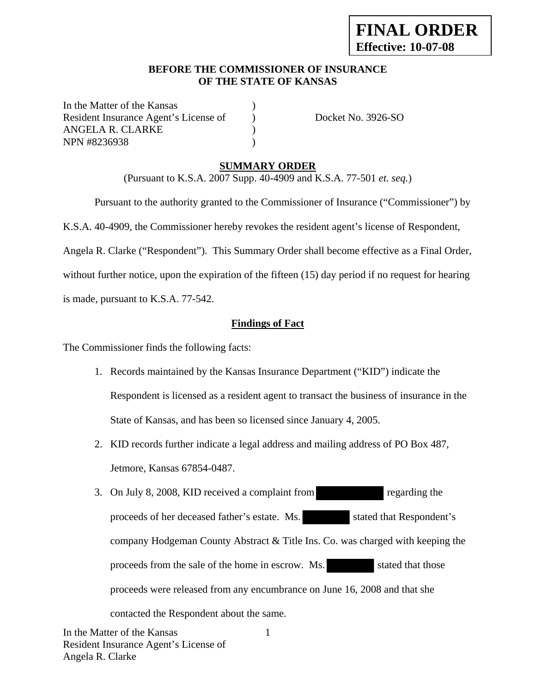### **BEFORE THE COMMISSIONER OF INSURANCE OF THE STATE OF KANSAS**

In the Matter of the Kansas Resident Insurance Agent's License of Docket No. 3926-SO ANGELA R. CLARKE ) NPN #8236938 (a)

## **SUMMARY ORDER**

(Pursuant to K.S.A. 2007 Supp. 40-4909 and K.S.A. 77-501 *et. seq.*)

Pursuant to the authority granted to the Commissioner of Insurance ("Commissioner") by

K.S.A. 40-4909, the Commissioner hereby revokes the resident agent's license of Respondent,

Angela R. Clarke ("Respondent"). This Summary Order shall become effective as a Final Order,

without further notice, upon the expiration of the fifteen (15) day period if no request for hearing is made, pursuant to K.S.A. 77-542.

# **Findings of Fact**

The Commissioner finds the following facts:

- 1. Records maintained by the Kansas Insurance Department ("KID") indicate the Respondent is licensed as a resident agent to transact the business of insurance in the State of Kansas, and has been so licensed since January 4, 2005.
- 2. KID records further indicate a legal address and mailing address of PO Box 487, Jetmore, Kansas 67854-0487.
- 3. On July 8, 2008, KID received a complaint from regarding the proceeds of her deceased father's estate. Ms. stated that Respondent's company Hodgeman County Abstract & Title Ins. Co. was charged with keeping the proceeds from the sale of the home in escrow. Ms. stated that those proceeds were released from any encumbrance on June 16, 2008 and that she contacted the Respondent about the same.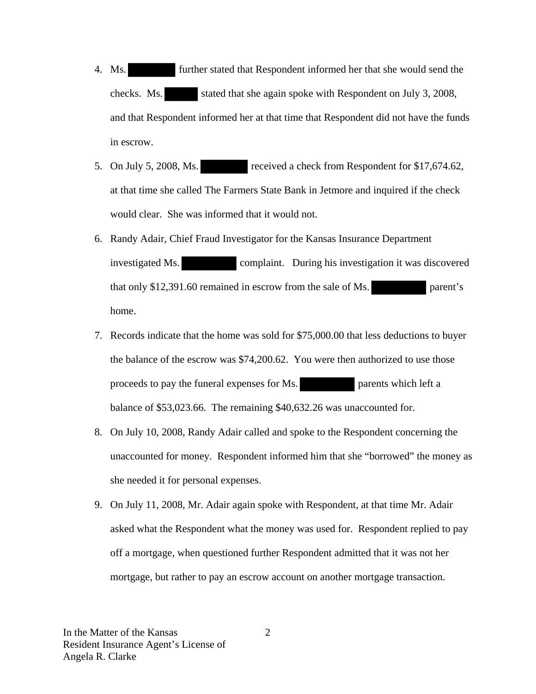- 4. Ms. further stated that Respondent informed her that she would send the checks. Ms. stated that she again spoke with Respondent on July 3, 2008, and that Respondent informed her at that time that Respondent did not have the funds in escrow.
- 5. On July 5, 2008, Ms. received a check from Respondent for \$17,674.62, at that time she called The Farmers State Bank in Jetmore and inquired if the check would clear. She was informed that it would not.
- 6. Randy Adair, Chief Fraud Investigator for the Kansas Insurance Department investigated Ms. complaint. During his investigation it was discovered that only \$12,391.60 remained in escrow from the sale of Ms. parent's home.
- 7. Records indicate that the home was sold for \$75,000.00 that less deductions to buyer the balance of the escrow was \$74,200.62. You were then authorized to use those proceeds to pay the funeral expenses for Ms. parents which left a balance of \$53,023.66. The remaining \$40,632.26 was unaccounted for.
- 8. On July 10, 2008, Randy Adair called and spoke to the Respondent concerning the unaccounted for money. Respondent informed him that she "borrowed" the money as she needed it for personal expenses.
- 9. On July 11, 2008, Mr. Adair again spoke with Respondent, at that time Mr. Adair asked what the Respondent what the money was used for. Respondent replied to pay off a mortgage, when questioned further Respondent admitted that it was not her mortgage, but rather to pay an escrow account on another mortgage transaction.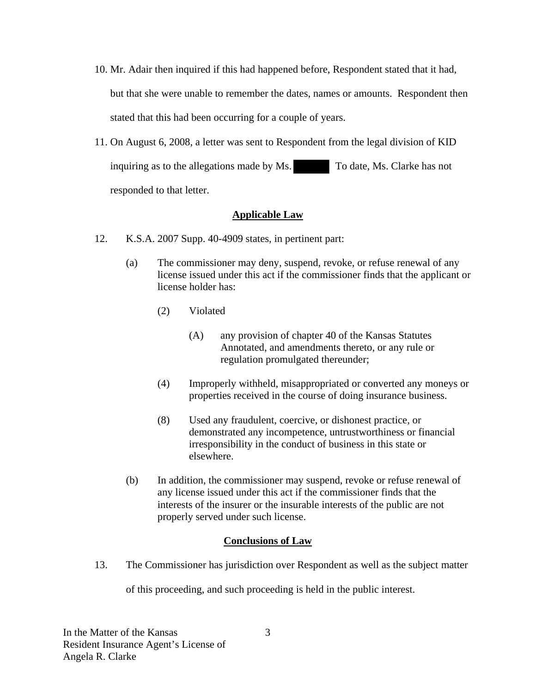- 10. Mr. Adair then inquired if this had happened before, Respondent stated that it had, but that she were unable to remember the dates, names or amounts. Respondent then stated that this had been occurring for a couple of years.
- 11. On August 6, 2008, a letter was sent to Respondent from the legal division of KID inquiring as to the allegations made by Ms. To date, Ms. Clarke has not responded to that letter.

# **Applicable Law**

- 12. K.S.A. 2007 Supp. 40-4909 states, in pertinent part:
	- (a) The commissioner may deny, suspend, revoke, or refuse renewal of any license issued under this act if the commissioner finds that the applicant or license holder has:
		- (2) Violated
			- (A) any provision of chapter 40 of the Kansas Statutes Annotated, and amendments thereto, or any rule or regulation promulgated thereunder;
		- (4) Improperly withheld, misappropriated or converted any moneys or properties received in the course of doing insurance business.
		- (8) Used any fraudulent, coercive, or dishonest practice, or demonstrated any incompetence, untrustworthiness or financial irresponsibility in the conduct of business in this state or elsewhere.
	- (b) In addition, the commissioner may suspend, revoke or refuse renewal of any license issued under this act if the commissioner finds that the interests of the insurer or the insurable interests of the public are not properly served under such license.

## **Conclusions of Law**

13. The Commissioner has jurisdiction over Respondent as well as the subject matter

of this proceeding, and such proceeding is held in the public interest.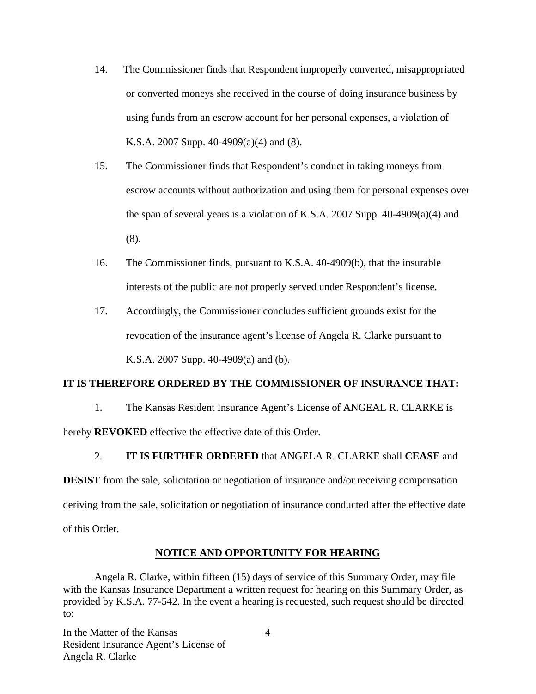- 14. The Commissioner finds that Respondent improperly converted, misappropriated or converted moneys she received in the course of doing insurance business by using funds from an escrow account for her personal expenses, a violation of K.S.A. 2007 Supp. 40-4909(a)(4) and (8).
- 15. The Commissioner finds that Respondent's conduct in taking moneys from escrow accounts without authorization and using them for personal expenses over the span of several years is a violation of K.S.A. 2007 Supp.  $40-4909(a)(4)$  and (8).
- 16. The Commissioner finds, pursuant to K.S.A. 40-4909(b), that the insurable interests of the public are not properly served under Respondent's license.
- 17. Accordingly, the Commissioner concludes sufficient grounds exist for the revocation of the insurance agent's license of Angela R. Clarke pursuant to K.S.A. 2007 Supp. 40-4909(a) and (b).

#### **IT IS THEREFORE ORDERED BY THE COMMISSIONER OF INSURANCE THAT:**

1. The Kansas Resident Insurance Agent's License of ANGEAL R. CLARKE is

hereby **REVOKED** effective the effective date of this Order.

#### 2. **IT IS FURTHER ORDERED** that ANGELA R. CLARKE shall **CEASE** and

**DESIST** from the sale, solicitation or negotiation of insurance and/or receiving compensation deriving from the sale, solicitation or negotiation of insurance conducted after the effective date of this Order.

#### **NOTICE AND OPPORTUNITY FOR HEARING**

Angela R. Clarke, within fifteen (15) days of service of this Summary Order, may file with the Kansas Insurance Department a written request for hearing on this Summary Order, as provided by K.S.A. 77-542. In the event a hearing is requested, such request should be directed to:

In the Matter of the Kansas Resident Insurance Agent's License of Angela R. Clarke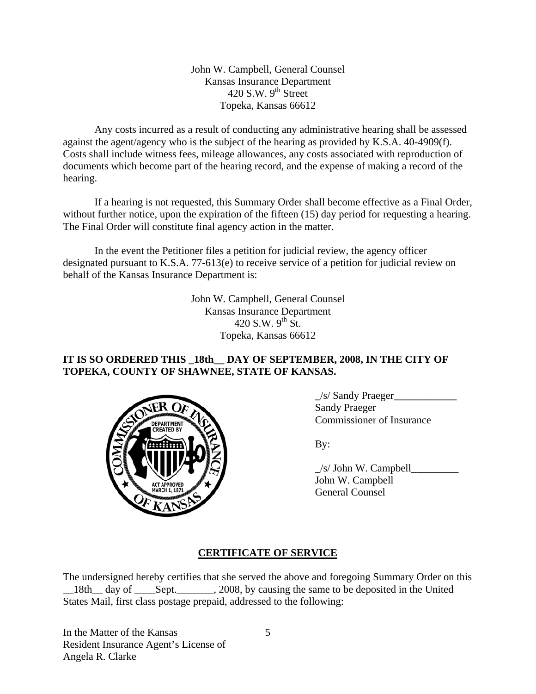John W. Campbell, General Counsel Kansas Insurance Department 420 S.W.  $9<sup>th</sup>$  Street Topeka, Kansas 66612

Any costs incurred as a result of conducting any administrative hearing shall be assessed against the agent/agency who is the subject of the hearing as provided by K.S.A. 40-4909(f). Costs shall include witness fees, mileage allowances, any costs associated with reproduction of documents which become part of the hearing record, and the expense of making a record of the hearing.

If a hearing is not requested, this Summary Order shall become effective as a Final Order, without further notice, upon the expiration of the fifteen (15) day period for requesting a hearing. The Final Order will constitute final agency action in the matter.

In the event the Petitioner files a petition for judicial review, the agency officer designated pursuant to K.S.A. 77-613(e) to receive service of a petition for judicial review on behalf of the Kansas Insurance Department is:

> John W. Campbell, General Counsel Kansas Insurance Department 420 S.W.  $9^{th}$  St. Topeka, Kansas 66612

# **IT IS SO ORDERED THIS \_18th\_\_ DAY OF SEPTEMBER, 2008, IN THE CITY OF TOPEKA, COUNTY OF SHAWNEE, STATE OF KANSAS.**



 **\_**/s/ Sandy Praeger**\_\_\_\_\_\_\_\_\_\_\_\_** Sandy Praeger Commissioner of Insurance

| $\mathbb{E}[\mathbf{A}(\mathbf{A})]$  | /s/ John W. Campbell |
|---------------------------------------|----------------------|
|                                       | John W. Campbell     |
| <b>ACT APPROVED<br/>MARCH 1, 1871</b> | General Counsel      |

# **CERTIFICATE OF SERVICE**

The undersigned hereby certifies that she served the above and foregoing Summary Order on this 18th day of Sept. 2008, by causing the same to be deposited in the United States Mail, first class postage prepaid, addressed to the following:

In the Matter of the Kansas Resident Insurance Agent's License of Angela R. Clarke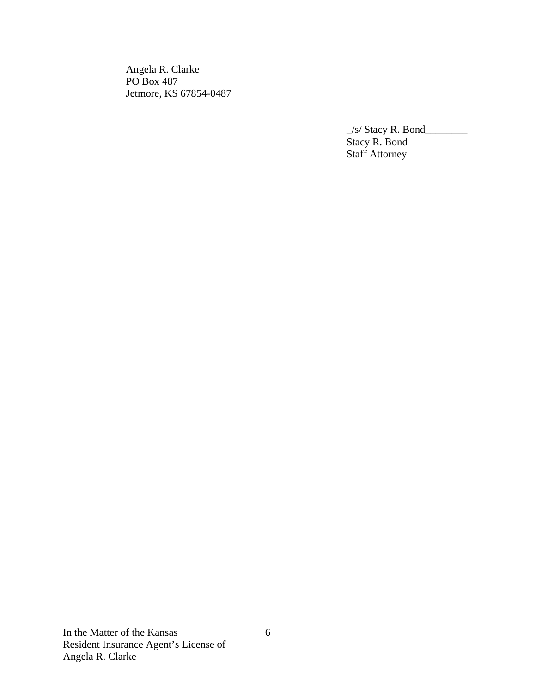Angela R. Clarke PO Box 487 Jetmore, KS 67854-0487

 $\frac{1}{s}$  Stacy R. Bond Stacy R. Bond **Staff Attorney**